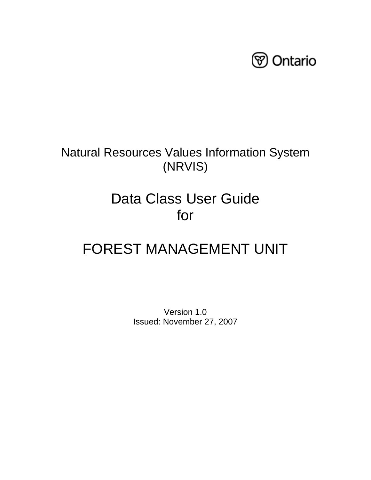

## Natural Resources Values Information System (NRVIS)

# Data Class User Guide for

# FOREST MANAGEMENT UNIT

Version 1.0 Issued: November 27, 2007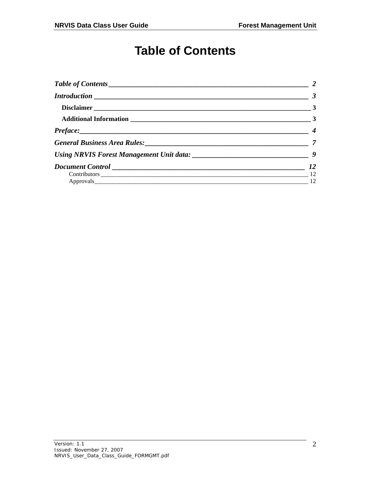## **Table of Contents**

<span id="page-1-0"></span>

| $\frac{1}{2}$ 2 |                |
|-----------------|----------------|
|                 |                |
|                 | $\sim$ 3       |
|                 |                |
|                 | $\overline{4}$ |
|                 |                |
|                 |                |
|                 | 12             |
|                 |                |
|                 | $\frac{12}{2}$ |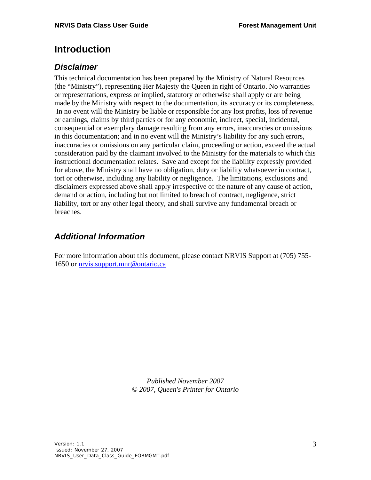### <span id="page-2-0"></span>**Introduction**

### <span id="page-2-1"></span>*Disclaimer*

This technical documentation has been prepared by the Ministry of Natural Resources (the "Ministry"), representing Her Majesty the Queen in right of Ontario. No warranties or representations, express or implied, statutory or otherwise shall apply or are being made by the Ministry with respect to the documentation, its accuracy or its completeness. In no event will the Ministry be liable or responsible for any lost profits, loss of revenue or earnings, claims by third parties or for any economic, indirect, special, incidental, consequential or exemplary damage resulting from any errors, inaccuracies or omissions in this documentation; and in no event will the Ministry's liability for any such errors, inaccuracies or omissions on any particular claim, proceeding or action, exceed the actual consideration paid by the claimant involved to the Ministry for the materials to which this instructional documentation relates. Save and except for the liability expressly provided for above, the Ministry shall have no obligation, duty or liability whatsoever in contract, tort or otherwise, including any liability or negligence. The limitations, exclusions and disclaimers expressed above shall apply irrespective of the nature of any cause of action, demand or action, including but not limited to breach of contract, negligence, strict liability, tort or any other legal theory, and shall survive any fundamental breach or breaches.

### <span id="page-2-2"></span>*Additional Information*

For more information about this document, please contact NRVIS Support at (705) 755- 1650 or nrvis.support.mnr@ontario.ca

> *Published November 2007 © 2007, Queen's Printer for Ontario*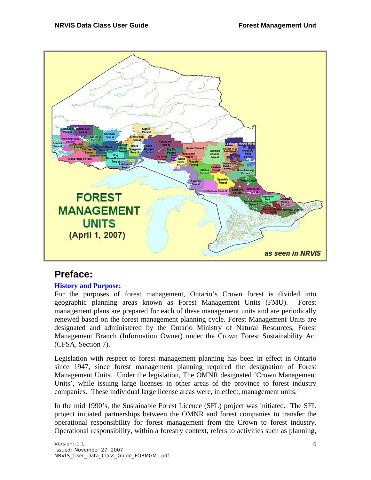

### <span id="page-3-0"></span>**Preface:**

#### **History and Purpose:**

For the purposes of forest management, Ontario's Crown forest is divided into geographic planning areas known as Forest Management Units (FMU). Forest management plans are prepared for each of these management units and are periodically renewed based on the forest management planning cycle. Forest Management Units are designated and administered by the Ontario Ministry of Natural Resources, Forest Management Branch (Information Owner) under the Crown Forest Sustainability Act (CFSA, Section 7).

Legislation with respect to forest management planning has been in effect in Ontario since 1947, since forest management planning required the designation of Forest Management Units. Under the legislation, The OMNR designated 'Crown Management Units', while issuing large licenses in other areas of the province to forest industry companies. These individual large license areas were, in effect, management units.

In the mid 1990's, the Sustainable Forest Licence (SFL) project was initiated. The SFL project initiated partnerships between the OMNR and forest companies to transfer the operational responsibility for forest management from the Crown to forest industry. Operational responsibility, within a forestry context, refers to activities such as planning,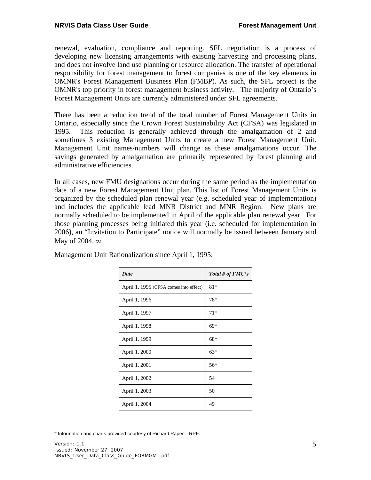renewal, evaluation, compliance and reporting. SFL negotiation is a process of developing new licensing arrangements with existing harvesting and processing plans, and does not involve land use planning or resource allocation. The transfer of operational responsibility for forest management to forest companies is one of the key elements in OMNR's Forest Management Business Plan (FMBP). As such, the SFL project is the OMNR's top priority in forest management business activity. The majority of Ontario's Forest Management Units are currently administered under SFL agreements.

There has been a reduction trend of the total number of Forest Management Units in Ontario, especially since the Crown Forest Sustainability Act (CFSA) was legislated in 1995. This reduction is generally achieved through the amalgamation of 2 and sometimes 3 existing Management Units to create a new Forest Management Unit. Management Unit names/numbers will change as these amalgamations occur. The savings generated by amalgamation are primarily represented by forest planning and administrative efficiencies.

In all cases, new FMU designations occur during the same period as the implementation date of a new Forest Management Unit plan. This list of Forest Management Units is organized by the scheduled plan renewal year (e.g. scheduled year of implementation) and includes the applicable lead MNR District and MNR Region. New plans are normally scheduled to be implemented in April of the applicable plan renewal year. For those planning processes being initiated this year (i.e. scheduled for implementation in 2006), an "Invitation to Participate" notice will normally be issued between January and May of 2004.  $\infty$ 

| Date                                   | Total # of $FMU$ 's |
|----------------------------------------|---------------------|
| April 1, 1995 (CFSA comes into effect) | $81*$               |
| April 1, 1996                          | 78*                 |
| April 1, 1997                          | $71*$               |
| April 1, 1998                          | $69*$               |
| April 1, 1999                          | $68*$               |
| April 1, 2000                          | $63*$               |
| April 1, 2001                          | $56*$               |
| April 1, 2002                          | 54                  |
| April 1, 2003                          | 50                  |
| April 1, 2004                          | 49                  |

Management Unit Rationalization since April 1, 1995:

<span id="page-4-0"></span> $\overline{a}$  $\degree$  Information and charts provided courtesy of Richard Raper – RPF.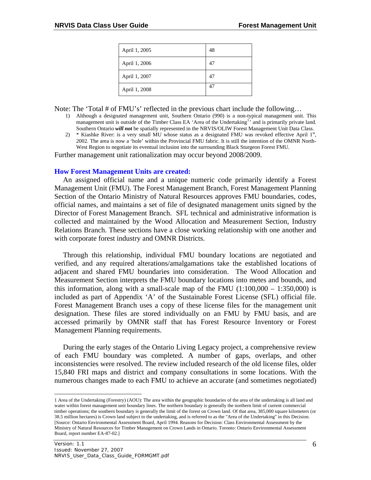| April 1, 2005 | 48 |
|---------------|----|
| April 1, 2006 | 47 |
| April 1, 2007 | 47 |
| April 1, 2008 | 47 |

Note: The 'Total # of FMU's' reflected in the previous chart include the following...

- 1) Although a designated management unit, Southern Ontario (990) is a non-typical management unit. This management unit is outside of the Timber Class EA 'Area of the Undertaking<sup>[1](#page-5-0),</sup> and is primarily private land. Southern Ontario *will not* be spatially represented in the NRVIS/OLIW Forest Management Unit Data Class.
- 2)  $*$  Kiashke River: is a very small MU whose status as a designated FMU was revoked effective April  $1<sup>st</sup>$ , 2002. The area is now a 'hole' within the Provincial FMU fabric. It is still the intention of the OMNR North-West Region to negotiate its eventual inclusion into the surrounding Black Sturgeon Forest FMU.

Further management unit rationalization may occur beyond 2008/2009.

#### **How Forest Management Units are created:**

An assigned official name and a unique numeric code primarily identify a Forest Management Unit (FMU). The Forest Management Branch, Forest Management Planning Section of the Ontario Ministry of Natural Resources approves FMU boundaries, codes, official names, and maintains a set of file of designated management units signed by the Director of Forest Management Branch. SFL technical and administrative information is collected and maintained by the Wood Allocation and Measurement Section, Industry Relations Branch. These sections have a close working relationship with one another and with corporate forest industry and OMNR Districts.

Through this relationship, individual FMU boundary locations are negotiated and verified, and any required alterations/amalgamations take the established locations of adjacent and shared FMU boundaries into consideration. The Wood Allocation and Measurement Section interprets the FMU boundary locations into metes and bounds, and this information, along with a small-scale map of the FMU  $(1:100,000 - 1:350,000)$  is included as part of Appendix 'A' of the Sustainable Forest License (SFL) official file. Forest Management Branch uses a copy of these license files for the management unit designation. These files are stored individually on an FMU by FMU basis, and are accessed primarily by OMNR staff that has Forest Resource Inventory or Forest Management Planning requirements.

During the early stages of the Ontario Living Legacy project, a comprehensive review of each FMU boundary was completed. A number of gaps, overlaps, and other inconsistencies were resolved. The review included research of the old license files, older 15,840 FRI maps and district and company consultations in some locations. With the numerous changes made to each FMU to achieve an accurate (and sometimes negotiated)

 $\overline{a}$ 

<span id="page-5-0"></span><sup>1</sup> Area of the Undertaking (Forestry) (AOU): The area within the geographic boundaries of the area of the undertaking is all land and water within forest management unit boundary lines. The northern boundary is generally the northern limit of current commercial timber operations; the southern boundary is generally the limit of the forest on Crown land. Of that area, 385,000 square kilometers (or 38.5 million hectares) is Crown land subject to the undertaking, and is referred to as the "Area of the Undertaking" in this Decision. [Source: Ontario Environmental Assessment Board, April 1994. Reasons for Decision: Class Environmental Assessment by the Ministry of Natural Resources for Timber Management on Crown Lands in Ontario. Toronto: Ontario Environmental Assessment Board, report number EA-87-02.]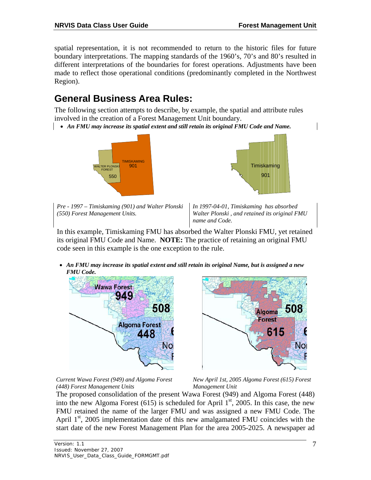spatial representation, it is not recommended to return to the historic files for future boundary interpretations. The mapping standards of the 1960's, 70's and 80's resulted in different interpretations of the boundaries for forest operations. Adjustments have been made to reflect those operational conditions (predominantly completed in the Northwest Region).

### <span id="page-6-0"></span>**General Business Area Rules:**

The following section attempts to describe, by example, the spatial and attribute rules involved in the creation of a Forest Management Unit boundary.

*An FMU may increase its spatial extent and still retain its original FMU Code and Name.*





*Pre - 1997 – Timiskaming (901) and Walter Plonski (550) Forest Management Units.* 

*In 1997-04-01, Timiskaming has absorbed Walter Plonski , and retained its original FMU name and Code.* 

In this example, Timiskaming FMU has absorbed the Walter Plonski FMU, yet retained its original FMU Code and Name. **NOTE:** The practice of retaining an original FMU code seen in this example is the one exception to the rule.

 *An FMU may increase its spatial extent and still retain its original Name, but is assigned a new FMU Code.*





*Current Wawa Forest (949) and Algoma Forest (448) Forest Management Units* 

*New April 1st, 2005 Algoma Forest (615) Forest Management Unit* 

The proposed consolidation of the present Wawa Forest (949) and Algoma Forest (448) into the new Algoma Forest (615) is scheduled for April  $1<sup>st</sup>$ , 2005. In this case, the new FMU retained the name of the larger FMU and was assigned a new FMU Code. The April 1<sup>st</sup>, 2005 implementation date of this new amalgamated FMU coincides with the start date of the new Forest Management Plan for the area 2005-2025. A newspaper ad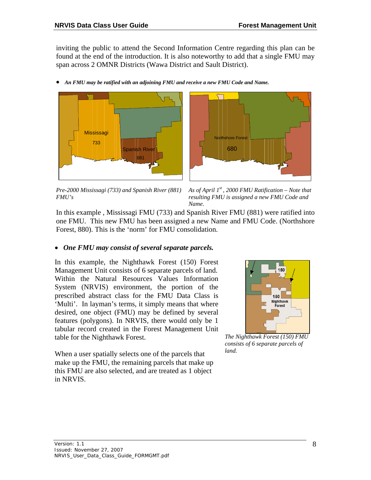inviting the public to attend the Second Information Centre regarding this plan can be found at the end of the introduction. It is also noteworthy to add that a single FMU may span across 2 OMNR Districts (Wawa District and Sault District).







*Pre-2000 Mississagi (733) and Spanish River (881) FMU's* 



In this example , Mississagi FMU (733) and Spanish River FMU (881) were ratified into one FMU. This new FMU has been assigned a new Name and FMU Code. (Northshore Forest, 880). This is the 'norm' for FMU consolidation.

#### *One FMU may consist of several separate parcels.*

In this example, the Nighthawk Forest (150) Forest Management Unit consists of 6 separate parcels of land. Within the Natural Resources Values Information System (NRVIS) environment, the portion of the prescribed abstract class for the FMU Data Class is 'Multi'. In layman's terms, it simply means that where desired, one object (FMU) may be defined by several features (polygons). In NRVIS, there would only be 1 tabular record created in the Forest Management Unit table for the Nighthawk Forest.



*The Nighthawk Forest (150) FMU consists of 6 separate parcels of land.*

When a user spatially selects one of the parcels that make up the FMU, the remaining parcels that make up this FMU are also selected, and are treated as 1 object in NRVIS.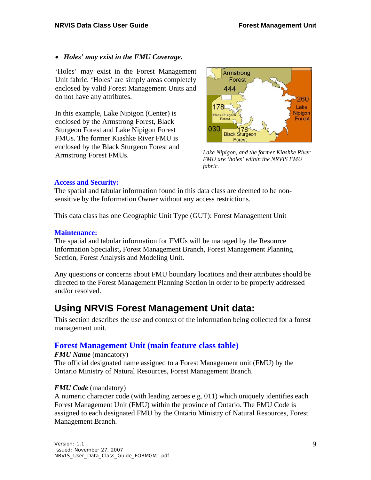#### *Holes' may exist in the FMU Coverage.*

'Holes' may exist in the Forest Management Unit fabric. 'Holes' are simply areas completely enclosed by valid Forest Management Units and do not have any attributes.

In this example, Lake Nipigon (Center) is enclosed by the Armstrong Forest, Black Sturgeon Forest and Lake Nipigon Forest FMUs. The former Kiashke River FMU is enclosed by the Black Sturgeon Forest and Armstrong Forest FMUs. *Lake Nipigon, and the former Kiashke River* 



*FMU are 'holes' within the NRVIS FMU fabric.*

#### **Access and Security:**

The spatial and tabular information found in this data class are deemed to be nonsensitive by the Information Owner without any access restrictions.

This data class has one Geographic Unit Type (GUT): Forest Management Unit

#### **Maintenance:**

The spatial and tabular information for FMUs will be managed by the Resource Information Specialist**,** Forest Management Branch, Forest Management Planning Section, Forest Analysis and Modeling Unit.

Any questions or concerns about FMU boundary locations and their attributes should be directed to the Forest Management Planning Section in order to be properly addressed and/or resolved.

### <span id="page-8-0"></span>**Using NRVIS Forest Management Unit data:**

This section describes the use and context of the information being collected for a forest management unit.

### **Forest Management Unit (main feature class table)**

#### *FMU Name* (mandatory)

The official designated name assigned to a Forest Management unit (FMU) by the Ontario Ministry of Natural Resources, Forest Management Branch.

#### *FMU Code* (mandatory)

A numeric character code (with leading zeroes e.g. 011) which uniquely identifies each Forest Management Unit (FMU) within the province of Ontario. The FMU Code is assigned to each designated FMU by the Ontario Ministry of Natural Resources, Forest Management Branch.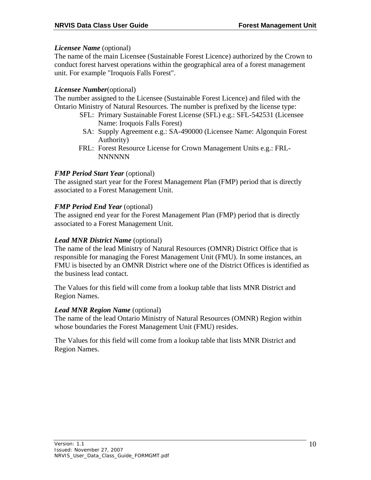#### *Licensee Name* (optional)

The name of the main Licensee (Sustainable Forest Licence) authorized by the Crown to conduct forest harvest operations within the geographical area of a forest management unit. For example "Iroquois Falls Forest".

### *Licensee Number*(optional)

The number assigned to the Licensee (Sustainable Forest Licence) and filed with the Ontario Ministry of Natural Resources. The number is prefixed by the license type:

- SFL: Primary Sustainable Forest License (SFL) e.g.: SFL-542531 (Licensee Name: Iroquois Falls Forest)
- SA: Supply Agreement e.g.: SA-490000 (Licensee Name: Algonquin Forest Authority)
- FRL: Forest Resource License for Crown Management Units e.g.: FRL-NNNNNN

### *FMP Period Start Year (optional)*

The assigned start year for the Forest Management Plan (FMP) period that is directly associated to a Forest Management Unit.

### *FMP Period End Year (optional)*

The assigned end year for the Forest Management Plan (FMP) period that is directly associated to a Forest Management Unit.

#### *Lead MNR District Name* (optional)

The name of the lead Ministry of Natural Resources (OMNR) District Office that is responsible for managing the Forest Management Unit (FMU). In some instances, an FMU is bisected by an OMNR District where one of the District Offices is identified as the business lead contact.

The Values for this field will come from a lookup table that lists MNR District and Region Names.

#### *Lead MNR Region Name* (optional)

The name of the lead Ontario Ministry of Natural Resources (OMNR) Region within whose boundaries the Forest Management Unit (FMU) resides.

The Values for this field will come from a lookup table that lists MNR District and Region Names.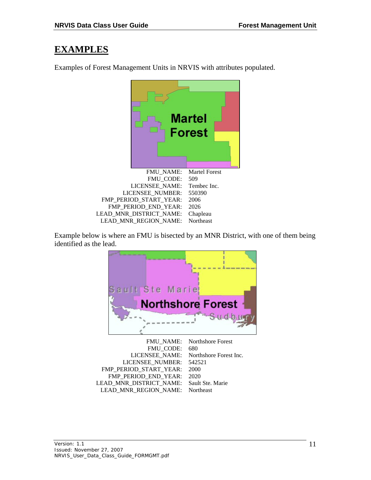### **EXAMPLES**

**Martel Forest** FMU\_NAME: Martel Forest FMU\_CODE: 509 LICENSEE\_NAME: Tembec Inc. LICENSEE\_NUMBER: 550390 FMP\_PERIOD\_START\_YEAR: 2006 FMP\_PERIOD\_END\_YEAR: 2026 LEAD\_MNR\_DISTRICT\_NAME: Chapleau LEAD\_MNR\_REGION\_NAME: Northeast

Examples of Forest Management Units in NRVIS with attributes populated.

Example below is where an FMU is bisected by an MNR District, with one of them being identified as the lead.



|                                          | FMU_NAME: Northshore Forest           |
|------------------------------------------|---------------------------------------|
| FMU CODE:                                | 680                                   |
|                                          | LICENSEE NAME: Northshore Forest Inc. |
| LICENSEE NUMBER: 542521                  |                                       |
| FMP PERIOD START YEAR:                   | 2000                                  |
| FMP PERIOD END YEAR:                     | 2020                                  |
| LEAD MNR DISTRICT NAME: Sault Ste. Marie |                                       |
| LEAD_MNR_REGION_NAME: Northeast          |                                       |